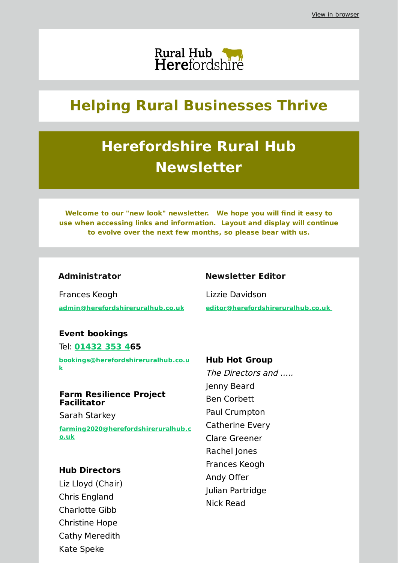

## **Helping Rural Businesses Thrive**

# **Herefordshire Rural Hub Newsletter**

**Welcome to our "new look" newsletter. We hope you will find it easy to use when accessing links and information. Layout and display will continue to evolve over the next few months, so please bear with us.**

## **Administrator**

Frances Keogh **[admin@herefordshireruralhub.co.uk](mailto:admin@herefordshireruralhub.co.uk)**

## **Event bookings**

Tel: **[01432](tel:01432 353 4) 353 465 [bookings@herefordshireruralhub.co.u](mailto:bookings@herefordshireruralhub.co.uk) k**

## **Farm Resilience Project Facilitator**

Sarah Starkey

**[farming2020@herefordshireruralhub.c](mailto:farming2020@herefordshireruralhub.co.uk) o.uk**

## **Hub Directors**

Liz Lloyd (Chair) Chris England Charlotte Gibb Christine Hope Cathy Meredith Kate Speke

## **Newsletter Editor**

Lizzie Davidson **[editor@herefordshireruralhub.co.uk](mailto:editor@herefordshireruralhub.co.uk%C2%A0)**

#### **Hub Hot Group**

The Directors and ….. Jenny Beard Ben Corbett Paul Crumpton Catherine Every Clare Greener Rachel Jones Frances Keogh Andy Offer Julian Partridge Nick Read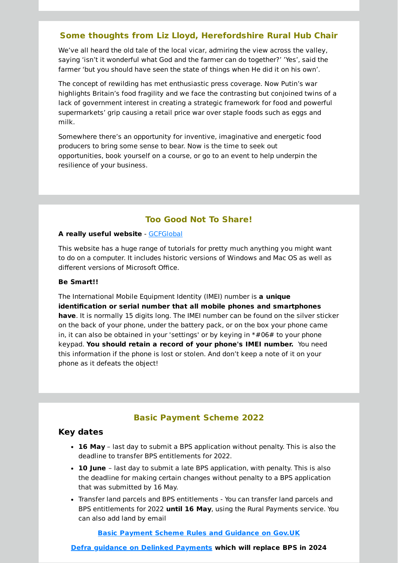## **Some thoughts from Liz Lloyd, Herefordshire Rural Hub Chair**

We've all heard the old tale of the local vicar, admiring the view across the valley, saying 'isn't it wonderful what God and the farmer can do together?' 'Yes', said the farmer 'but you should have seen the state of things when He did it on his own'.

The concept of rewilding has met enthusiastic press coverage. Now Putin's war highlights Britain's food fragility and we face the contrasting but conjoined twins of a lack of government interest in creating a strategic framework for food and powerful supermarkets' grip causing a retail price war over staple foods such as eggs and milk.

Somewhere there's an opportunity for inventive, imaginative and energetic food producers to bring some sense to bear. Now is the time to seek out opportunities, book yourself on a course, or go to an event to help underpin the resilience of your business.

## **Too Good Not To Share!**

#### **A really useful website** - [GCFGlobal](https://edu.gcfglobal.org/en/?utm_source=newsletter&utm_medium=email&utm_campaign=name_latest_herefordshire_rural_hub_newsletter_may_2022&utm_term=2022-04-29)

This website has a huge range of tutorials for pretty much anything you might want to do on a computer. It includes historic versions of Windows and Mac OS as well as different versions of Microsoft Office.

#### **Be Smart!!**

The International Mobile Equipment Identity (IMEI) number is **a unique identification or serial number that all mobile phones and smartphones have**. It is normally 15 digits long. The IMEI number can be found on the silver sticker on the back of your phone, under the battery pack, or on the box your phone came in, it can also be obtained in your 'settings' or by keying in \*#06# to your phone keypad. **You should retain a record of your phone's IMEI number.** You need this information if the phone is lost or stolen. And don't keep a note of it on your phone as it defeats the object!

## **Basic Payment Scheme 2022**

## **Key dates**

- **16 May** last day to submit a BPS application without penalty. This is also the deadline to transfer BPS entitlements for 2022.
- **10 June** last day to submit a late BPS application, with penalty. This is also the deadline for making certain changes without penalty to a BPS application that was submitted by 16 May.
- Transfer land parcels and BPS entitlements You can transfer land parcels and BPS entitlements for 2022 **until 16 May**, using the Rural Payments service. You can also add land by email

#### **Basic Payment Scheme Rules and [Guidance](https://www.gov.uk/guidance/basic-payment-scheme-2022-rules-for-2022?utm_source=newsletter&utm_medium=email&utm_campaign=name_latest_herefordshire_rural_hub_newsletter_may_2022&utm_term=2022-04-29) on Gov.UK**

**Defra guidance on Delinked [Payments](https://www.gov.uk/guidance/delinked-payments-replacing-the-basic-payment-scheme?utm_source=newsletter&utm_medium=email&utm_campaign=name_latest_herefordshire_rural_hub_newsletter_may_2022&utm_term=2022-04-29) which will replace BPS in 2024**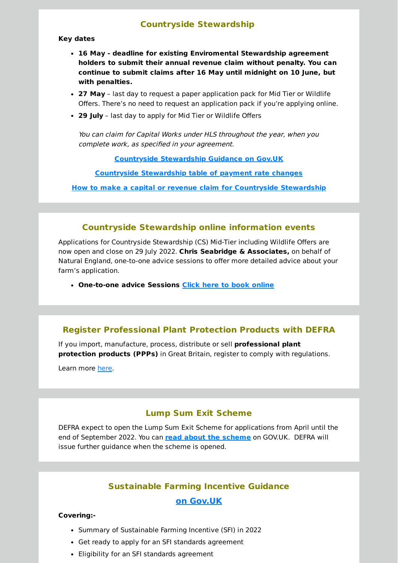## **Countryside Stewardship**

#### **Key dates**

- **16 May - deadline for existing Enviromental Stewardship agreement holders to submit their annual revenue claim without penalty. You can continue to submit claims after 16 May until midnight on 10 June, but with penalties.**
- **27 May** last day to request a paper application pack for Mid Tier or Wildlife Offers. There's no need to request an application pack if you're applying online.
- **29 July** last day to apply for Mid Tier or Wildlife Offers

You can claim for Capital Works under HLS throughout the year, when you complete work, as specified in your agreement.

**Countryside [Stewardship](https://www.gov.uk/government/collections/countryside-stewardship?utm_source=newsletter&utm_medium=email&utm_campaign=name_latest_herefordshire_rural_hub_newsletter_may_2022&utm_term=2022-04-29) Guidance on Gov.UK**

**Countryside [Stewardship](https://www.gov.uk/government/publications/countryside-stewardship-revenue-payment-rates-from-1-january-2022?utm_source=newsletter&utm_medium=email&utm_campaign=name_latest_herefordshire_rural_hub_newsletter_may_2022&utm_term=2022-04-29) table of payment rate changes**

**How to make a capital or revenue claim for Countryside [Stewardship](https://www.gov.uk/guidance/how-to-make-a-capital-or-revenue-claim-for-countryside-stewardship?utm_source=newsletter&utm_medium=email&utm_campaign=name_latest_herefordshire_rural_hub_newsletter_may_2022&utm_term=2022-04-29)**

## **Countryside Stewardship online information events**

Applications for Countryside Stewardship (CS) Mid-Tier including Wildlife Offers are now open and close on 29 July 2022. **Chris Seabridge & Associates,** on behalf of Natural England, one-to-one advice sessions to offer more detailed advice about your farm's application.

**One-to-one advice Sessions Click here to book [online](https://docs.google.com/forms/d/e/1FAIpQLScYV61z60zIp8s0gvXjKlhGFHGYlhwMsUrCvERdaHrbKIWkpw/viewform?utm_source=newsletter&utm_medium=email&utm_campaign=name_latest_herefordshire_rural_hub_newsletter_may_2022&utm_term=2022-04-29)**

## **Register Professional Plant Protection Products with DEFRA**

If you import, manufacture, process, distribute or sell **professional plant protection products (PPPs)** in Great Britain, register to comply with regulations.

Learn more [here.](https://www.gov.uk/government/publications/professional-plant-protection-products-ppps-register-as-a-business-that-places-them-on-the-market?utm_source=newsletter&utm_medium=email&utm_campaign=name_latest_herefordshire_rural_hub_newsletter_may_2022&utm_term=2022-04-29)

## **Lump Sum Exit Scheme**

DEFRA expect to open the Lump Sum Exit Scheme for applications from April until the end of September 2022. You can **read about the [scheme](https://www.gov.uk/government/collections/lump-sum-exit-scheme?utm_source=newsletter&utm_medium=email&utm_campaign=name_latest_herefordshire_rural_hub_newsletter_may_2022&utm_term=2022-04-29)** on GOV.UK. DEFRA will issue further guidance when the scheme is opened.

## **Sustainable Farming Incentive Guidance**

## **on [Gov.UK](https://www.gov.uk/government/collections/sustainable-farming-incentive-guidance?utm_source=newsletter&utm_medium=email&utm_campaign=name_latest_herefordshire_rural_hub_newsletter_may_2022&utm_term=2022-04-29)**

#### **Covering:-**

- Summary of Sustainable Farming Incentive (SFI) in 2022
- Get ready to apply for an SFI standards agreement
- Eligibility for an SFI standards agreement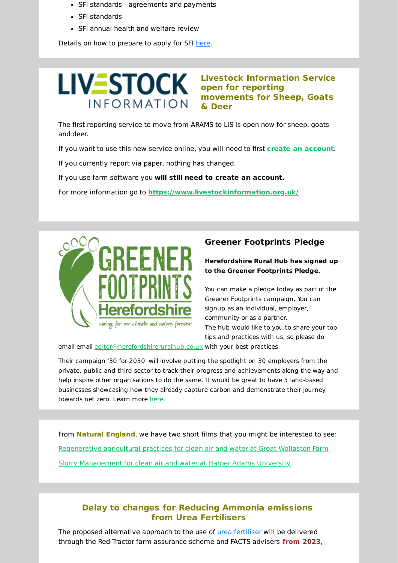- SFI standards agreements and payments
- SFI standards
- SFI annual health and welfare review

Details on how to prepare to apply for SFI [here.](https://www.gov.uk/guidance/what-to-do-before-you-apply-for-an-sfi-standards-agreement?utm_source=newsletter&utm_medium=email&utm_campaign=name_latest_herefordshire_rural_hub_newsletter_may_2022&utm_term=2022-04-29)

# **LIV≣STOCK INFORMATION**

**Livestock Information Service open for reporting movements for Sheep, Goats & Deer**

The first reporting service to move from ARAMS to LIS is open now for sheep, goats and deer.

If you want to use this new service online, you will need to first **create an [account](https://cla.livestockinformation.org.uk/?utm_source=newsletter&utm_medium=email&utm_campaign=name_latest_herefordshire_rural_hub_newsletter_may_2022&utm_term=2022-04-29)**.

If you currently report via paper, nothing has changed.

If you use farm software you **will still need to create an account.**

For more information go to **[https://www.livestockinformation.org.uk/](https://www.livestockinformation.org.uk/?utm_source=newsletter&utm_medium=email&utm_campaign=name_latest_herefordshire_rural_hub_newsletter_may_2022&utm_term=2022-04-29)**



## **Greener Footprints Pledge**

#### **Herefordshire Rural Hub has signed up to the Greener Footprints Pledge.**

You can make a pledge today as part of the Greener Footprints campaign. You can signup as an individual, employer, community or as a partner. The hub would like to you to share your top tips and practices with us, so please do

email email [editor@herefordshireruralhub.co.uk](mailto:editor@herefordshireruralhub.co.uk) with your best practices.

Their campaign '30 for 2030' will involve putting the spotlight on 30 employers from the private, public and third sector to track their progress and achievements along the way and help inspire other organisations to do the same. It would be great to have 5 land-based businesses showcasing how they already capture carbon and demonstrate their journey towards net zero. Learn more [here.](https://zerocarbon.herefordshire.gov.uk/get-your-business-to-net-zero/?utm_source=newsletter&utm_medium=email&utm_campaign=name_latest_herefordshire_rural_hub_newsletter_may_2022&utm_term=2022-04-29)

From **Natural England**, we have two short films that you might be interested to see: [Regenerative](https://www.youtube.com/watch?v=29mjkKcPxho&t=10s) agricultural practices for clean air and water at Great Wollaston Farm Slurry [Management](https://www.youtube.com/watch?v=yCP1rAAS1Pg) for clean air and water at Harper Adams University

## **Delay to changes for Reducing Ammonia emissions from Urea Fertilisers**

The proposed alternative approach to the use of urea [fertiliser](https://www.gov.uk/government/consultations/reducing-ammonia-emissions-from-urea-fertilisers?utm_source=newsletter&utm_medium=email&utm_campaign=name_latest_herefordshire_rural_hub_newsletter_may_2022&utm_term=2022-04-29) will be delivered through the Red Tractor farm assurance scheme and FACTS advisers **from 2023**,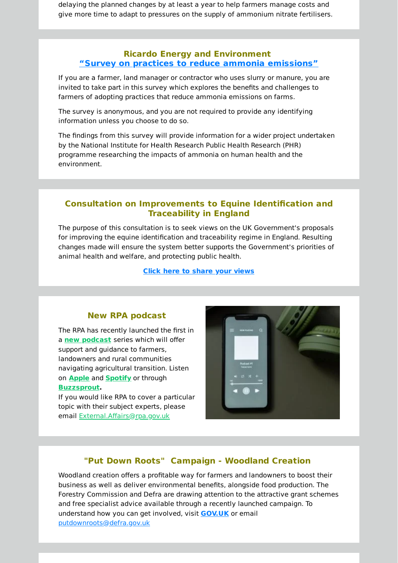delaying the planned changes by at least a year to help farmers manage costs and give more time to adapt to pressures on the supply of ammonium nitrate fertilisers.

## **Ricardo Energy and Environment "Survey on practices to reduce ammonia [emissions"](https://survey.alchemer.eu/s3/90430944/Farmer-survey-on-practices-to-reduce-ammonia-emissions?utm_source=newsletter&utm_medium=email&utm_campaign=name_latest_herefordshire_rural_hub_newsletter_may_2022&utm_term=2022-04-29)**

If you are a farmer, land manager or contractor who uses slurry or manure, you are invited to take part in this survey which explores the benefits and challenges to farmers of adopting practices that reduce ammonia emissions on farms.

The survey is anonymous, and you are not required to provide any identifying information unless you choose to do so.

The findings from this survey will provide information for a wider project undertaken by the National Institute for Health Research Public Health Research (PHR) programme researching the impacts of ammonia on human health and the environment.

## **Consultation on Improvements to Equine Identification and Traceability in England**

The purpose of this consultation is to seek views on the UK Government's proposals for improving the equine identification and traceability regime in England. Resulting changes made will ensure the system better supports the Government's priorities of animal health and welfare, and protecting public health.

**Click here to [share](https://consult.defra.gov.uk/equine-id-and-movement/improvements-to-equine-id-and-traceability-in-engl/?utm_source=newsletter&utm_medium=email&utm_campaign=name_latest_herefordshire_rural_hub_newsletter_may_2022&utm_term=2022-04-29) your views**

## **New RPA podcast**

The RPA has recently launched the first in a **new [podcast](https://eur03.safelinks.protection.outlook.com/?url=https%3A%2F%2Fruralpayments.blog.gov.uk%2F2022%2F02%2F24%2Frural-payments-agency-launches-a-new-podcast%2F&data=04%7C01%7CBecky.Lawrenson%40defra.gov.uk%7C03e93aad51a84173292108da067254df%7C770a245002274c6290c74e38537f1102%7C0%7C0%7C637829385357173716%7CUnknown%7CTWFpbGZsb3d8eyJWIjoiMC4wLjAwMDAiLCJQIjoiV2luMzIiLCJBTiI6Ik1haWwiLCJXVCI6Mn0%3D%7C3000&sdata=0HEkwDDHqiF15RY4136gbbp3ggpx7AxMJqinfQ4gJzw%3D&reserved=0&utm_source=newsletter&utm_medium=email&utm_campaign=name_latest_herefordshire_rural_hub_newsletter_may_2022&utm_term=2022-04-29)** series which will offer support and guidance to farmers, landowners and rural communities navigating agricultural transition. Listen on **[Apple](https://eur03.safelinks.protection.outlook.com/?url=https%3A%2F%2Fpodcasts.apple.com%2Fus%2Fpodcast%2Fthe-rpa-podcast%2Fid1611189974&data=04%7C01%7CBecky.Lawrenson%40defra.gov.uk%7C03e93aad51a84173292108da067254df%7C770a245002274c6290c74e38537f1102%7C0%7C0%7C637829385357173716%7CUnknown%7CTWFpbGZsb3d8eyJWIjoiMC4wLjAwMDAiLCJQIjoiV2luMzIiLCJBTiI6Ik1haWwiLCJXVCI6Mn0%3D%7C3000&sdata=kTbuNF%2BqMTUntSLCNl0pZIkcjjyThKSwx00vedgKErE%3D&reserved=0&utm_source=newsletter&utm_medium=email&utm_campaign=name_latest_herefordshire_rural_hub_newsletter_may_2022&utm_term=2022-04-29)** and **[Spotify](https://eur03.safelinks.protection.outlook.com/?url=https%3A%2F%2Fopen.spotify.com%2Fepisode%2F117PgUNaKRTinWpYSBTjgH&data=04%7C01%7CBecky.Lawrenson%40defra.gov.uk%7C03e93aad51a84173292108da067254df%7C770a245002274c6290c74e38537f1102%7C0%7C0%7C637829385357173716%7CUnknown%7CTWFpbGZsb3d8eyJWIjoiMC4wLjAwMDAiLCJQIjoiV2luMzIiLCJBTiI6Ik1haWwiLCJXVCI6Mn0%3D%7C3000&sdata=aVSSJqru1Ff0fuzaL0wjWUgOkpk3FbL5dkPAsNUh73E%3D&reserved=0&utm_source=newsletter&utm_medium=email&utm_campaign=name_latest_herefordshire_rural_hub_newsletter_may_2022&utm_term=2022-04-29)** or through **[Buzzsprout.](https://eur03.safelinks.protection.outlook.com/?url=https%3A%2F%2Fwww.buzzsprout.com%2F1902916%2F10120868&data=04%7C01%7CBecky.Lawrenson%40defra.gov.uk%7C03e93aad51a84173292108da067254df%7C770a245002274c6290c74e38537f1102%7C0%7C0%7C637829385357173716%7CUnknown%7CTWFpbGZsb3d8eyJWIjoiMC4wLjAwMDAiLCJQIjoiV2luMzIiLCJBTiI6Ik1haWwiLCJXVCI6Mn0%3D%7C3000&sdata=9i0laL7lMNhNxdZA%2Fqv%2BJAOdw4agLBjSh12hNDHBeSI%3D&reserved=0&utm_source=newsletter&utm_medium=email&utm_campaign=name_latest_herefordshire_rural_hub_newsletter_may_2022&utm_term=2022-04-29)**

If you would like RPA to cover a particular topic with their subject experts, please email [External.Affairs@rpa.gov.uk](mailto:External.Affairs@rpa.gov.uk)



## **"Put Down Roots" Campaign - Woodland Creation**

Woodland creation offers a profitable way for farmers and landowners to boost their business as well as deliver environmental benefits, alongside food production. The Forestry Commission and Defra are drawing attention to the attractive grant schemes and free specialist advice available through a recently launched campaign. To understand how you can get involved, visit **[GOV.UK](https://eur03.safelinks.protection.outlook.com/?url=https%3A%2F%2Fwoodlandcreation.campaign.gov.uk%2F&data=04%7C01%7CBecky.Lawrenson%40defra.gov.uk%7C03e93aad51a84173292108da067254df%7C770a245002274c6290c74e38537f1102%7C0%7C0%7C637829385357173716%7CUnknown%7CTWFpbGZsb3d8eyJWIjoiMC4wLjAwMDAiLCJQIjoiV2luMzIiLCJBTiI6Ik1haWwiLCJXVCI6Mn0%3D%7C3000&sdata=OqZeheJp8NCtrcLe04hJ4q7KliFzx0%2FObmus63%2BK0I4%3D&reserved=0&utm_source=newsletter&utm_medium=email&utm_campaign=name_latest_herefordshire_rural_hub_newsletter_may_2022&utm_term=2022-04-29)** or email [putdownroots@defra.gov.uk](mailto:putdownroots@defra.gov.uk)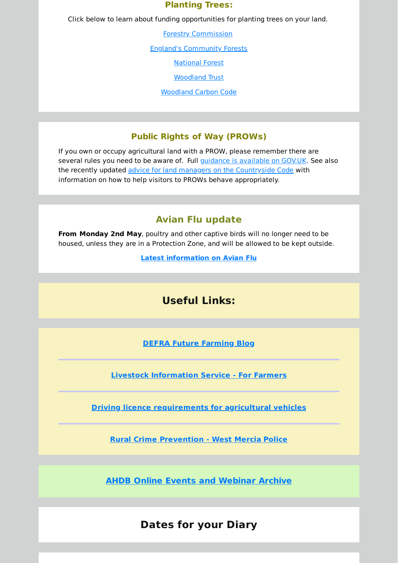## **Planting Trees:**

Click below to learn about funding opportunities for planting trees on your land.

Forestry [Commission](https://www.gov.uk/guidance/tree-planting-and-woodland-creation-overview?utm_source=newsletter&utm_medium=email&utm_campaign=name_latest_herefordshire_rural_hub_newsletter_may_2022&utm_term=2022-04-29#funding-and-grants-for-woodland-creation)

England's [Community](https://englandscommunityforests.org.uk/landowners?utm_source=newsletter&utm_medium=email&utm_campaign=name_latest_herefordshire_rural_hub_newsletter_may_2022&utm_term=2022-04-29) Forests

[National](https://www.nationalforest.org/about/partner-with-us/grant-opportunities?utm_source=newsletter&utm_medium=email&utm_campaign=name_latest_herefordshire_rural_hub_newsletter_may_2022&utm_term=2022-04-29) Forest

[Woodland](https://www.woodlandtrust.org.uk/plant-trees/trees-for-landowners-and-farmers/?utm_source=newsletter&utm_medium=email&utm_campaign=name_latest_herefordshire_rural_hub_newsletter_may_2022&utm_term=2022-04-29) Trust

[Woodland](https://www.woodlandcarboncode.org.uk/?utm_source=newsletter&utm_medium=email&utm_campaign=name_latest_herefordshire_rural_hub_newsletter_may_2022&utm_term=2022-04-29) Carbon Code

## **Public Rights of Way (PROWs)**

If you own or occupy agricultural land with a PROW, please remember there are several rules you need to be aware of. Full *guidance is [available](https://www.gov.uk/guidance/public-rights-of-way-landowner-responsibilities?utm_source=newsletter&utm_medium=email&utm_campaign=name_latest_herefordshire_rural_hub_newsletter_may_2022&utm_term=2022-04-29) on GOV.UK*. See also the recently updated advice for land managers on the [Countryside](https://www.gov.uk/government/publications/the-countryside-code/the-countryside-code-advice-for-land-managers?utm_source=newsletter&utm_medium=email&utm_campaign=name_latest_herefordshire_rural_hub_newsletter_may_2022&utm_term=2022-04-29) Code with information on how to help visitors to PROWs behave appropriately.

## **Avian Flu update**

**From Monday 2nd May**, poultry and other captive birds will no longer need to be housed, unless they are in a Protection Zone, and will be allowed to be kept outside.

**Latest [information](https://www.gov.uk/guidance/avian-influenza-bird-flu?utm_source=newsletter&utm_medium=email&utm_campaign=name_latest_herefordshire_rural_hub_newsletter_may_2022&utm_term=2022-04-29) on Avian Flu**

## **Useful Links:**

**DEFRA Future [Farming](https://defrafarming.blog.gov.uk/?utm_source=newsletter&utm_medium=email&utm_campaign=name_latest_herefordshire_rural_hub_newsletter_may_2022&utm_term=2022-04-29) Blog**

**Livestock [Information](https://www.livestockinformation.org.uk/for-farmers/?utm_source=newsletter&utm_medium=email&utm_campaign=name_latest_herefordshire_rural_hub_newsletter_may_2022&utm_term=2022-04-29) Service - For Farmers**

**Driving licence [requirements](https://www.nfuonline.com/updates-and-information/driving-licence-requirements-for-agricultural-vehicles/?utm_source=b060422&utm_medium=email&utm_campaign=bulletin&utm_term=2022-04-29) for agricultural vehicles**

**Rural Crime [Prevention](https://www.westmercia.police.uk/advice/advice-and-information/rc/rural-crime/rural-crime-prevention/?utm_source=newsletter&utm_medium=email&utm_campaign=name_latest_herefordshire_rural_hub_newsletter_may_2022&utm_term=2022-04-29) - West Mercia Police**

**AHDB Online Events and [Webinar](https://ahdb.org.uk/webinars?utm_source=newsletter&utm_medium=email&utm_campaign=name_latest_herefordshire_rural_hub_newsletter_may_2022&utm_term=2022-04-29) Archive**

## **Dates for your Diary**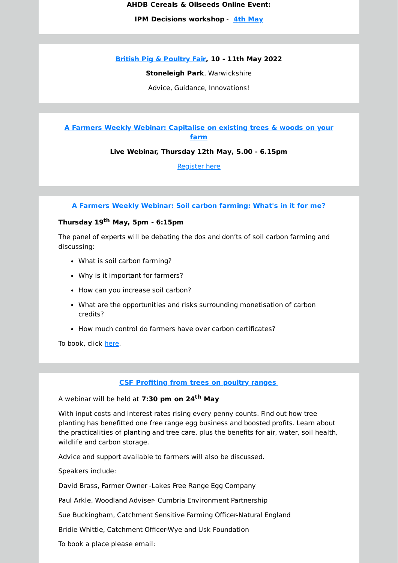**AHDB Cereals & Oilseeds Online Event:**

**IPM Decisions workshop** - **4th [May](https://commsahdborguk.ctml2.com/ahdblz/EventMgr_BookEvent1.aspx?eID=538&_cldee=848gor4Jz5Pov2iSgUs8R9NY2oIUwE4ZindH9PYWEnTChBN1ftP0f44Jx9WzAzQpOD-yux_LS7GtHYTAbKBQMA&recipientid=contact-dc12188423d7e61180c0005056b864bf-e479347ba2f84671948d59afd04cdc5d&esid=92856c33-16b0-ec11-983f-0022480062d0&utm_source=newsletter&utm_medium=email&utm_campaign=name_latest_herefordshire_rural_hub_newsletter_may_2022&utm_term=2022-04-29)**

**British Pig & [Poultry](https://www.pigandpoultry.org.uk/?utm_source=newsletter&utm_medium=email&utm_campaign=name_latest_herefordshire_rural_hub_newsletter_may_2022&utm_term=2022-04-29) Fair, 10 - 11th May 2022**

**Stoneleigh Park**, Warwickshire

Advice, Guidance, Innovations!

**A Farmers Weekly Webinar: [Capitalise](http://comms.fwi.co.uk/q/12GC9SODOjC4ff0tFSJz072Q/wv?utm_source=newsletter&utm_medium=email&utm_campaign=name_latest_herefordshire_rural_hub_newsletter_may_2022&utm_term=2022-04-29) on existing trees & woods on your farm**

**Live Webinar, Thursday 12th May, 5.00 - 6.15pm**

[Register](http://comms.fwi.co.uk/q/12GC9SODOjC4ff0tFSJz072Q/wv?utm_source=newsletter&utm_medium=email&utm_campaign=name_latest_herefordshire_rural_hub_newsletter_may_2022&utm_term=2022-04-29) here

**A Farmers Weekly [Webinar:](https://view6.workcast.net/register?cpak=5608137148543876&utm_source=newsletter&utm_medium=email&utm_campaign=name_latest_herefordshire_rural_hub_newsletter_may_2022&utm_term=2022-04-29) Soil carbon farming: What's in it for me?**

## **Thursday 19 th May, 5pm - 6:15pm**

The panel of experts will be debating the dos and don'ts of soil carbon farming and discussing:

- What is soil carbon farming?
- Why is it important for farmers?
- How can you increase soil carbon?
- What are the opportunities and risks surrounding monetisation of carbon credits?
- How much control do farmers have over carbon certificates?

To book, click [here.](https://view6.workcast.net/register?cpak=5608137148543876&utm_source=newsletter&utm_medium=email&utm_campaign=name_latest_herefordshire_rural_hub_newsletter_may_2022&utm_term=2022-04-29)

**CSF [Profiting](https://herefordshireruralhub.co.uk/whats-on/csf-webinar-profiting-from-trees-on-poultry-ranges/?utm_source=newsletter&utm_medium=email&utm_campaign=name_latest_herefordshire_rural_hub_newsletter_may_2022&utm_term=2022-04-29) from trees on poultry ranges**

A webinar will be held at **7:30 pm on 24 th May**

With input costs and interest rates rising every penny counts. Find out how tree planting has benefitted one free range egg business and boosted profits. Learn about the practicalities of planting and tree care, plus the benefits for air, water, soil health, wildlife and carbon storage.

Advice and support available to farmers will also be discussed.

Speakers include:

David Brass, Farmer Owner -Lakes Free Range Egg Company

Paul Arkle, Woodland Adviser- Cumbria Environment Partnership

Sue Buckingham, Catchment Sensitive Farming Officer-Natural England

Bridie Whittle, Catchment Officer-Wye and Usk Foundation

To book a place please email: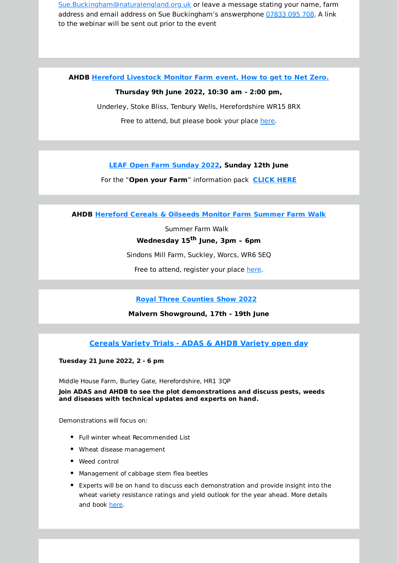[Sue.Buckingham@naturalengland.org.uk](mailto:Sue.Buckingham@naturalengland.org.uk) or leave a message stating your name, farm address and email address on Sue Buckingham's answerphone [07833](tel:07833 095 708) 095 708. A link to the webinar will be sent out prior to the event

**AHDB Hereford [Livestock](https://ahdb.org.uk/events/herefordshire-monitor-farm-how-to-get-to-net-zero?utm_source=newsletter&utm_medium=email&utm_campaign=name_latest_herefordshire_rural_hub_newsletter_may_2022&utm_term=2022-04-29) Monitor Farm event, How to get to Net Zero.**

#### **Thursday 9th June 2022, 10:30 am - 2:00 pm,**

Underley, Stoke Bliss, Tenbury Wells, Herefordshire WR15 8RX Free to attend, but please book your place [here](https://ahdb.org.uk/events/herefordshire-monitor-farm-how-to-get-to-net-zero?utm_source=newsletter&utm_medium=email&utm_campaign=name_latest_herefordshire_rural_hub_newsletter_may_2022&utm_term=2022-04-29).

**LEAF Open Farm [Sunday](https://www.farmsunday.org/open-my-farm?utm_source=newsletter&utm_medium=email&utm_campaign=name_latest_herefordshire_rural_hub_newsletter_may_2022&utm_term=2022-04-29) 2022, Sunday 12th June**

For the "**Open your Farm**" information pack **[CLICK](https://www.farmsunday.org/open-my-farm?utm_source=newsletter&utm_medium=email&utm_campaign=name_latest_herefordshire_rural_hub_newsletter_may_2022&utm_term=2022-04-29) HERE**

**AHDB [Hereford](https://ahdb.org.uk/events/hereford-monitor-farm-summer-farm-walk?utm_source=newsletter&utm_medium=email&utm_campaign=name_latest_herefordshire_rural_hub_newsletter_may_2022&utm_term=2022-04-29) Cereals & Oilseeds Monitor Farm Summer Farm Walk**

Summer Farm Walk **Wednesday 15 th June, 3pm – 6pm**

Sindons Mill Farm, Suckley, Worcs, WR6 5EQ

Free to attend, register your place [here.](https://ahdb.org.uk/events/hereford-monitor-farm-summer-farm-walk?utm_source=newsletter&utm_medium=email&utm_campaign=name_latest_herefordshire_rural_hub_newsletter_may_2022&utm_term=2022-04-29)

**Royal Three [Counties](https://www.royalthreecounties.co.uk/?utm_source=newsletter&utm_medium=email&utm_campaign=name_latest_herefordshire_rural_hub_newsletter_may_2022&utm_term=2022-04-29) Show 2022**

**Malvern Showground, 17th - 19th June**

**[Cereals](https://ahdb.org.uk/events/adas-ahdb-summer-open-day-in-herefordshire-2?utm_source=newsletter&utm_medium=email&utm_campaign=name_latest_herefordshire_rural_hub_newsletter_may_2022&utm_term=2022-04-29) Variety Trials - ADAS & AHDB Variety open day**

**Tuesday 21 June 2022, 2 - 6 pm**

Middle House Farm, Burley Gate, Herefordshire, HR1 3QP

**Join ADAS and AHDB to see the plot demonstrations and discuss pests, weeds and diseases with technical updates and experts on hand.**

Demonstrations will focus on:

- Full winter wheat Recommended List
- Wheat disease management
- Weed control
- Management of cabbage stem flea beetles
- Experts will be on hand to discuss each demonstration and provide insight into the wheat variety resistance ratings and yield outlook for the year ahead. More details and book [here.](https://ahdb.org.uk/events/adas-ahdb-summer-open-day-in-herefordshire-2?utm_source=newsletter&utm_medium=email&utm_campaign=name_latest_herefordshire_rural_hub_newsletter_may_2022&utm_term=2022-04-29)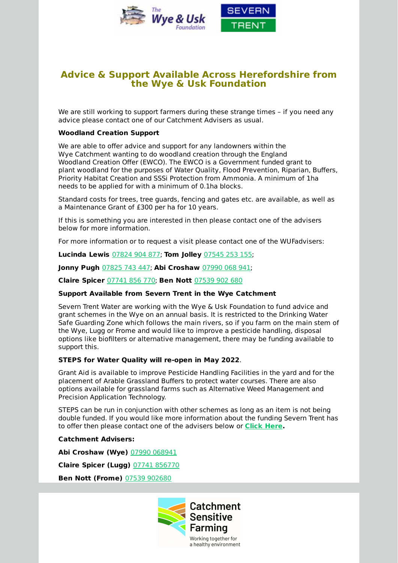

## **Advice & Support Available Across Herefordshire from the Wye & Usk Foundation**

We are still working to support farmers during these strange times – if you need any advice please contact one of our Catchment Advisers as usual.

#### **Woodland Creation Support**

We are able to offer advice and support for any landowners within the Wye Catchment wanting to do woodland creation through the England Woodland Creation Offer (EWCO). The EWCO is a Government funded grant to plant woodland for the purposes of Water Quality, Flood Prevention, Riparian, Buffers, Priority Habitat Creation and SSSi Protection from Ammonia. A minimum of 1ha needs to be applied for with a minimum of 0.1ha blocks.

Standard costs for trees, tree guards, fencing and gates etc. are available, as well as a Maintenance Grant of £300 per ha for 10 years.

If this is something you are interested in then please contact one of the advisers below for more information.

For more information or to request a visit please contact one of the WUFadvisers:

**Lucinda Lewis** [07824](tel:07824 904 877) 904 877; **Tom Jolley** [07545](tel:07545 253 155) 253 155;

**Jonny Pugh** [07825](tel:07825 743 447) 743 447; **Abi Croshaw** [07990](tel:07990 068 941) 068 941;

**Claire Spicer** [07741](tel:07741 856 770) 856 770; **Ben Nott** [07539](tel:07539 902 680) 902 680

#### **Support Available from Severn Trent in the Wye Catchment**

Severn Trent Water are working with the Wye & Usk Foundation to fund advice and grant schemes in the Wye on an annual basis. It is restricted to the Drinking Water Safe Guarding Zone which follows the main rivers, so if you farm on the main stem of the Wye, Lugg or Frome and would like to improve a pesticide handling, disposal options like biofilters or alternative management, there may be funding available to support this.

#### **STEPS for Water Quality will re-open in May 2022**.

Grant Aid is available to improve Pesticide Handling Facilities in the yard and for the placement of Arable Grassland Buffers to protect water courses. There are also options available for grassland farms such as Alternative Weed Management and Precision Application Technology.

STEPS can be run in conjunction with other schemes as long as an item is not being double funded. If you would like more information about the funding Severn Trent has to offer then please contact one of the advisers below or **Click [Here.](https://www.stwater.co.uk/about-us/environment/catchment-management/severn-trent-environmental-protection-scheme/?utm_source=newsletter&utm_medium=email&utm_campaign=name_latest_herefordshire_rural_hub_newsletter_may_2022&utm_term=2022-04-29)**

**Catchment Advisers:**

**Abi Croshaw (Wye)** 07990 [068941](tel:07990 068941)

**Claire Spicer (Lugg)** 07741 [856770](tel:07741 856770)

**Ben Nott (Frome)** 07539 [902680](tel:07539 902680)

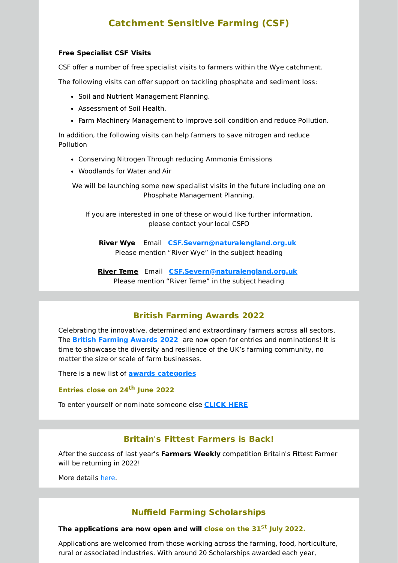## **Catchment Sensitive Farming (CSF)**

#### **Free Specialist CSF Visits**

CSF offer a number of free specialist visits to farmers within the Wye catchment.

The following visits can offer support on tackling phosphate and sediment loss:

- Soil and Nutrient Management Planning.
- Assessment of Soil Health.
- Farm Machinery Management to improve soil condition and reduce Pollution.

In addition, the following visits can help farmers to save nitrogen and reduce Pollution

- Conserving Nitrogen Through reducing Ammonia Emissions
- Woodlands for Water and Air

We will be launching some new specialist visits in the future including one on Phosphate Management Planning.

If you are interested in one of these or would like further information, please contact your local CSFO

**River Wye** Email **[CSF.Severn@naturalengland.org.uk](mailto:CSF.Severn@naturalengland.org.uk)** Please mention "River Wye" in the subject heading

**River Teme** Email **[CSF.Severn@naturalengland.org.uk](mailto:CSF.Severn@naturalengland.org.uk)** Please mention "River Teme" in the subject heading

## **British Farming Awards 2022**

Celebrating the innovative, determined and extraordinary farmers across all sectors, The **British [Farming](https://www.britishfarmingawards.co.uk/?utm_source=newsletter&utm_medium=email&utm_campaign=name_latest_herefordshire_rural_hub_newsletter_may_2022&utm_term=2022-04-29) Awards 2022** are now open for entries and nominations! It is time to showcase the diversity and resilience of the UK's farming community, no matter the size or scale of farm businesses.

There is a new list of **awards [categories](https://www.britishfarmingawards.co.uk/awards/?utm_source=newsletter&utm_medium=email&utm_campaign=name_latest_herefordshire_rural_hub_newsletter_may_2022&utm_term=2022-04-29)**

**Entries close on 24 th June 2022**

To enter yourself or nominate someone else **[CLICK](https://enter.britishfarmingawards.co.uk/?_ga=2.144609329.501879145.1647630171-791492570.1647630171&utm_source=newsletter&utm_medium=email&utm_campaign=name_latest_herefordshire_rural_hub_newsletter_may_2022&utm_term=2022-04-29) HERE**

## **Britain's Fittest Farmers is Back!**

After the success of last year's **Farmers Weekly** competition Britain's Fittest Farmer will be returning in 2022!

More details [here.](http://comms.fwi.co.uk/q/12GC9SODN2bU640K64nz1Xdk/wv?utm_source=newsletter&utm_medium=email&utm_campaign=name_latest_herefordshire_rural_hub_newsletter_may_2022&utm_term=2022-04-29)

## **Nuffield Farming Scholarships**

#### **The applications are now open and will close on the 31 st July 2022.**

Applications are welcomed from those working across the farming, food, horticulture, rural or associated industries. With around 20 Scholarships awarded each year,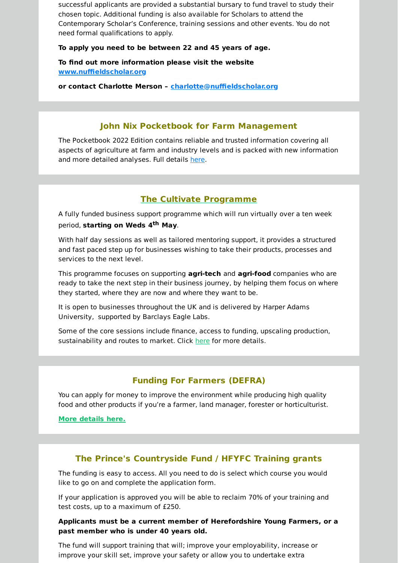successful applicants are provided a substantial bursary to fund travel to study their chosen topic. Additional funding is also available for Scholars to attend the Contemporary Scholar's Conference, training sessions and other events. You do not need formal qualifications to apply.

#### **To apply you need to be between 22 and 45 years of age.**

**To find out more information please visit the website [www.nuffieldscholar.org](http://www.nuffieldscholar.org/?utm_source=newsletter&utm_medium=email&utm_campaign=name_latest_herefordshire_rural_hub_newsletter_may_2022&utm_term=2022-04-29)**

**or contact Charlotte Merson – [charlotte@nuffieldscholar.org](mailto:charlotte@nuffieldscholar.org)**

## **John Nix Pocketbook for Farm Management**

The Pocketbook 2022 Edition contains reliable and trusted information covering all aspects of agriculture at farm and industry levels and is packed with new information and more detailed analyses. Full details [here.](https://www.thepocketbook.co.uk/?utm_source=newsletter&utm_medium=email&utm_campaign=name_latest_herefordshire_rural_hub_newsletter_may_2022&utm_term=2022-04-29)

## **The Cultivate [Programme](https://cultivateprogramme.com/?utm_source=newsletter&utm_medium=email&utm_campaign=name_latest_herefordshire_rural_hub_newsletter_may_2022&utm_term=2022-04-29)**

A fully funded business support programme which will run virtually over a ten week period, **starting on Weds 4 th May**.

With half day sessions as well as tailored mentoring support, it provides a structured and fast paced step up for businesses wishing to take their products, processes and services to the next level.

This programme focuses on supporting **agri-tech** and **agri-food** companies who are ready to take the next step in their business journey, by helping them focus on where they started, where they are now and where they want to be.

It is open to businesses throughout the UK and is delivered by Harper Adams University, supported by Barclays Eagle Labs.

Some of the core sessions include finance, access to funding, upscaling production, sustainability and routes to market. Click [here](https://cultivateprogramme.com/?utm_source=newsletter&utm_medium=email&utm_campaign=name_latest_herefordshire_rural_hub_newsletter_may_2022&utm_term=2022-04-29) for more details.

## **Funding For Farmers (DEFRA)**

You can apply for money to improve the environment while producing high quality food and other products if you're a farmer, land manager, forester or horticulturist.

**More [details](https://www.gov.uk/guidance/funding-for-farmers?utm_source=newsletter&utm_medium=email&utm_campaign=name_latest_herefordshire_rural_hub_newsletter_may_2022&utm_term=2022-04-29) here.**

## **The Prince's Countryside Fund / HFYFC Training grants**

The funding is easy to access. All you need to do is select which course you would like to go on and complete the application form.

If your application is approved you will be able to reclaim 70% of your training and test costs, up to a maximum of £250.

**Applicants must be a current member of Herefordshire Young Farmers, or a past member who is under 40 years old.**

The fund will support training that will; improve your employability, increase or improve your skill set, improve your safety or allow you to undertake extra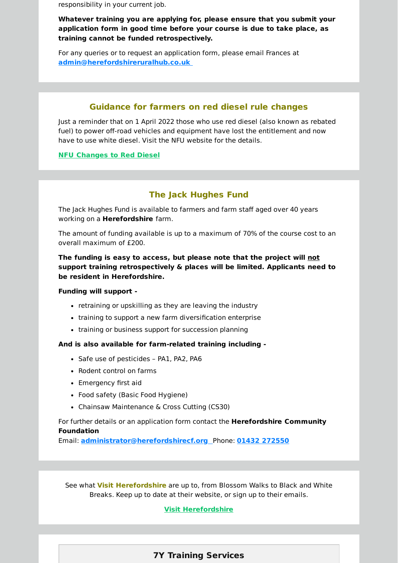responsibility in your current job.

**Whatever training you are applying for, please ensure that you submit your application form in good time before your course is due to take place, as training cannot be funded retrospectively.**

For any queries or to request an application form, please email Frances at **[admin@herefordshireruralhub.co.uk](mailto:admin@herefordshireruralhub.co.uk%C2%A0)**

## **Guidance for farmers on red diesel rule changes**

Just a reminder that on 1 April 2022 those who use red diesel (also known as rebated fuel) to power off-road vehicles and equipment have lost the entitlement and now have to use white diesel. Visit the NFU website for the details.

#### **NFU [Changes](https://www.nfuonline.com/updates-and-information/changes-to-red-diesel-rules-from-1-april-2022/?utm_source=newsletter&utm_medium=email&utm_campaign=name_latest_herefordshire_rural_hub_newsletter_may_2022&utm_term=2022-04-29) to Red Diesel**

## **The Jack Hughes Fund**

The Jack Hughes Fund is available to farmers and farm staff aged over 40 years working on a **Herefordshire** farm.

The amount of funding available is up to a maximum of 70% of the course cost to an overall maximum of £200.

**The funding is easy to access, but please note that the project will not support training retrospectively & places will be limited. Applicants need to be resident in Herefordshire.**

#### **Funding will support -**

- retraining or upskilling as they are leaving the industry
- training to support a new farm diversification enterprise
- training or business support for succession planning

#### **And is also available for farm-related training including -**

- Safe use of pesticides PA1, PA2, PA6
- Rodent control on farms
- Emergency first aid
- Food safety (Basic Food Hygiene)
- Chainsaw Maintenance & Cross Cutting (CS30)

For further details or an application form contact the **Herefordshire Community Foundation**

Email: **[administrator@herefordshirecf.org](mailto:administrator@herefordshirecf.org%C2%A0%C2%A0)** Phone: **01432 [272550](tel:01432 272550)**

See what **Visit Herefordshire** are up to, from Blossom Walks to Black and White Breaks. Keep up to date at their website, or sign up to their emails.

## **Visit [Herefordshire](https://www.visitherefordshire.co.uk/?utm_source=newsletter&utm_medium=email&utm_campaign=name_latest_herefordshire_rural_hub_newsletter_may_2022&utm_term=2022-04-29)**

## **7Y Training Services**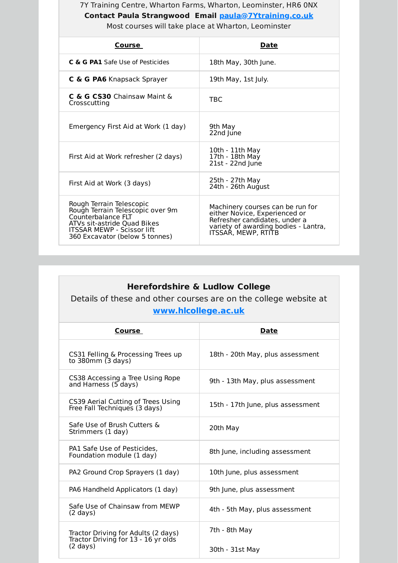## 7Y Training Centre, Wharton Farms, Wharton, Leominster, HR6 0NX **Contact Paula Strangwood Email [paula@7Ytraining.co.uk](mailto:paula@7Ytraining.co.uk)** Most courses will take place at Wharton, Leominster

| Course                                                                                                                                                                                   | Date                                                                                                                                                              |
|------------------------------------------------------------------------------------------------------------------------------------------------------------------------------------------|-------------------------------------------------------------------------------------------------------------------------------------------------------------------|
| C & G PA1 Safe Use of Pesticides                                                                                                                                                         | 18th May, 30th June.                                                                                                                                              |
| C & G PA6 Knapsack Sprayer                                                                                                                                                               | 19th May, 1st July.                                                                                                                                               |
| $C$ & G $CS30$ Chainsaw Maint $\delta$<br>Crosscutting                                                                                                                                   | TBC                                                                                                                                                               |
| Emergency First Aid at Work (1 day)                                                                                                                                                      | 9th Mav<br>22nd June                                                                                                                                              |
| First Aid at Work refresher (2 days)                                                                                                                                                     | 10th - 11th May<br>17th - 18th May<br>21st - 22nd June                                                                                                            |
| First Aid at Work (3 days)                                                                                                                                                               | 25th - 27th May<br>24th - 26th August                                                                                                                             |
| Rough Terrain Telescopic<br>Rough Terrain Telescopic over 9m<br>Counterbalance FLT<br>ATVs sit-astride Quad Bikes<br><b>ITSSAR MEWP - Scissor lift</b><br>360 Excavator (below 5 tonnes) | Machinery courses can be run for<br>either Novice, Experienced or<br>Refresher candidates, under a<br>variety of awarding bodies - Lantra,<br>ITSSAR, MEWP, RTITB |

| <b>Herefordshire &amp; Ludlow College</b><br>Details of these and other courses are on the college website at<br>www.hlcollege.ac.uk |                                   |
|--------------------------------------------------------------------------------------------------------------------------------------|-----------------------------------|
| Course                                                                                                                               | <b>Date</b>                       |
| CS31 Felling & Processing Trees up<br>to $380$ mm $(3$ days)                                                                         | 18th - 20th May, plus assessment  |
| CS38 Accessing a Tree Using Rope<br>and Harness (5 days)                                                                             | 9th - 13th May, plus assessment   |
| CS39 Aerial Cutting of Trees Using<br>Free Fall Techniques (3 days)                                                                  | 15th - 17th June, plus assessment |
| Safe Use of Brush Cutters &<br>Strimmers (1 day)                                                                                     | 20th May                          |
| PA1 Safe Use of Pesticides,<br>Foundation module (1 day)                                                                             | 8th June, including assessment    |
| PA2 Ground Crop Sprayers (1 day)                                                                                                     | 10th June, plus assessment        |
| PA6 Handheld Applicators (1 day)                                                                                                     | 9th June, plus assessment         |
| Safe Use of Chainsaw from MEWP<br>$(2 \text{ days})$                                                                                 | 4th - 5th May, plus assessment    |
| Tractor Driving for Adults (2 days)<br>Tractor Driving for 13 - 16 yr olds<br>$(2 \text{ days})$                                     | 7th - 8th May<br>30th - 31st May  |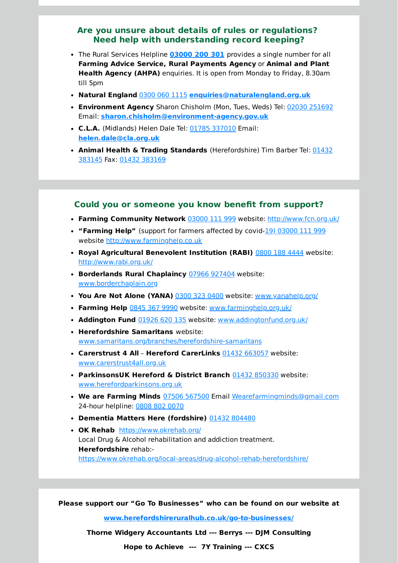## **Are you unsure about details of rules or regulations? Need help with understanding record keeping?**

- The Rural Services Helpline **[03000](tel:03000 200 301) 200 301** provides a single number for all **Farming Advice Service, Rural Payments Agency** or **Animal and Plant Health Agency (AHPA)** enquiries. It is open from Monday to Friday, 8.30am till 5pm
- **Natural England** 0300 060 [1115](tel:0300 060 1115) **[enquiries@naturalengland.org.uk](mailto:enquiries@naturalengland.org.uk)**
- **Environment Agency** Sharon Chisholm (Mon, Tues, Weds) Tel: 02030 [251692](tel:02030 251692) Email: **[sharon.chisholm@environment-agency.gov.uk](mailto:sharon.chisholm@environment-agency.gov.uk)**
- **C.L.A.** (Midlands) Helen Dale Tel: 01785 [337010](tel:01785 337010) Email: **[helen.dale@cla.org.uk](mailto:helen.dale@cla.org.uk)**
- **Animal Health & Trading Standards** [\(Herefordshire\)](tel:01432 383145) Tim Barber Tel: 01432 383145 Fax: 01432 [383169](tel:01432 383169)

#### **Could you or someone you know benefit from support?**

- **Farming Community Network** [03000](tel:03000 111 999) 111 999 website: [http://www.fcn.org.uk/](http://www.fcn.org.uk/?utm_source=newsletter&utm_medium=email&utm_campaign=name_latest_herefordshire_rural_hub_newsletter_may_2022&utm_term=2022-04-29)
- **"Farming Help"** (support for farmers affected by covid-19) [03000](tel:19) 03000 111 999) 111 999 website [http://www.farminghelp.co.uk](http://www.farminghelp.co.uk/?utm_source=newsletter&utm_medium=email&utm_campaign=name_latest_herefordshire_rural_hub_newsletter_may_2022&utm_term=2022-04-29)
- **Royal Agricultural Benevolent Institution (RABI)** 0800 188 [4444](tel:0800 188 4444) website: [http://www.rabi.org.uk/](http://www.rabi.org.uk/?utm_source=newsletter&utm_medium=email&utm_campaign=name_latest_herefordshire_rural_hub_newsletter_may_2022&utm_term=2022-04-29)
- **Borderlands Rural Chaplaincy** 07966 [927404](tel:07966 927404) website: [www.borderchaplain.org](http://www.borderchaplain.org/?utm_source=newsletter&utm_medium=email&utm_campaign=name_latest_herefordshire_rural_hub_newsletter_may_2022&utm_term=2022-04-29)
- **You Are Not Alone (YANA)** 0300 323 [0400](tel:0300 323 0400) website: [www.yanahelp.org/](http://www.yanahelp.org/?utm_source=newsletter&utm_medium=email&utm_campaign=name_latest_herefordshire_rural_hub_newsletter_may_2022&utm_term=2022-04-29)
- **Farming Help** [0845](tel:0845 367 9990) 367 9990 website: [www.farminghelp.org.uk/](http://www.farminghelp.org.uk/?utm_source=newsletter&utm_medium=email&utm_campaign=name_latest_herefordshire_rural_hub_newsletter_may_2022&utm_term=2022-04-29)
- **Addington Fund** [01926](tel:01926 620 135) 620 135 website: [www.addingtonfund.org.uk/](http://www.addingtonfund.org.uk/?utm_source=newsletter&utm_medium=email&utm_campaign=name_latest_herefordshire_rural_hub_newsletter_may_2022&utm_term=2022-04-29)
- **Herefordshire Samaritans** website: [www.samaritans.org/branches/herefordshire-samaritans](http://www.samaritans.org/branches/herefordshire-samaritans?utm_source=newsletter&utm_medium=email&utm_campaign=name_latest_herefordshire_rural_hub_newsletter_may_2022&utm_term=2022-04-29)
- **Carerstrust 4 All Hereford CarerLinks** 01432 [663057](tel:01432 663057) website: [www.carerstrust4all.org.uk](http://www.carerstrust4all.org.uk/?utm_source=newsletter&utm_medium=email&utm_campaign=name_latest_herefordshire_rural_hub_newsletter_may_2022&utm_term=2022-04-29)
- **ParkinsonsUK Hereford & District Branch** 01432 [850330](tel:01432 850330) website: [www.herefordparkinsons.org.uk](http://www.herefordparkinsons.org.uk/?utm_source=newsletter&utm_medium=email&utm_campaign=name_latest_herefordshire_rural_hub_newsletter_may_2022&utm_term=2022-04-29)
- **We are Farming Minds** 07506 [567500](tel:07506 567500) Email [Wearefarmingminds@gmail.com](mailto:Wearefarmingminds@gmail.com) 24-hour helpline: [0808](tel:0808 802 0070) 802 0070
- **Dementia Matters Here (fordshire)** 01432 [804480](tel:01432 804480)
- **OK Rehab** [https://www.okrehab.org/](https://www.okrehab.org/?utm_source=newsletter&utm_medium=email&utm_campaign=name_latest_herefordshire_rural_hub_newsletter_may_2022&utm_term=2022-04-29) Local Drug & Alcohol rehabilitation and addiction treatment. **Herefordshire** rehab: [https://www.okrehab.org/local-areas/drug-alcohol-rehab-herefordshire/](https://www.okrehab.org/local-areas/drug-alcohol-rehab-herefordshire/?utm_source=newsletter&utm_medium=email&utm_campaign=name_latest_herefordshire_rural_hub_newsletter_may_2022&utm_term=2022-04-29)

**Please support our "Go To Businesses" who can be found on our website at**

**[www.herefordshireruralhub.co.uk/go-to-businesses/](http://www.herefordshireruralhub.co.uk/go-to-businesses/?utm_source=newsletter&utm_medium=email&utm_campaign=name_latest_herefordshire_rural_hub_newsletter_may_2022&utm_term=2022-04-29)**

**Thorne Widgery Accountants Ltd --- Berrys --- DJM Consulting**

**Hope to Achieve --- 7Y Training --- CXCS**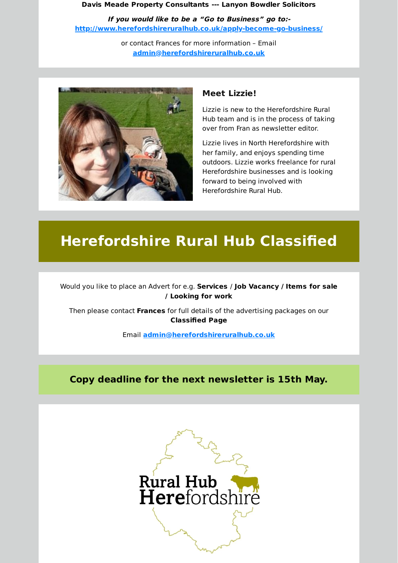#### **Davis Meade Property Consultants --- Lanyon Bowdler Solicitors**

**If you would like to be <sup>a</sup> "Go to Business" go to: [http://www.herefordshireruralhub.co.uk/apply-become-go-business/](http://www.herefordshireruralhub.co.uk/apply-become-go-business/?utm_source=newsletter&utm_medium=email&utm_campaign=name_latest_herefordshire_rural_hub_newsletter_may_2022&utm_term=2022-04-29)**

> or contact Frances for more information – Email **[admin@herefordshireruralhub.co.uk](mailto:admin@herefordshireruralhub.co.uk)**



## **Meet Lizzie!**

Lizzie is new to the Herefordshire Rural Hub team and is in the process of taking over from Fran as newsletter editor.

Lizzie lives in North Herefordshire with her family, and enjoys spending time outdoors. Lizzie works freelance for rural Herefordshire businesses and is looking forward to being involved with Herefordshire Rural Hub.

# **Herefordshire Rural Hub Classified**

Would you like to place an Advert for e.g. **Services** / **Job Vacancy / Items for sale / Looking for work**

Then please contact **Frances** for full details of the advertising packages on our **Classified Page**

Email **[admin@herefordshireruralhub.co.uk](mailto:admin@herefordshireruralhub.co.uk)**

## **Copy deadline for the next newsletter is 15th May.**